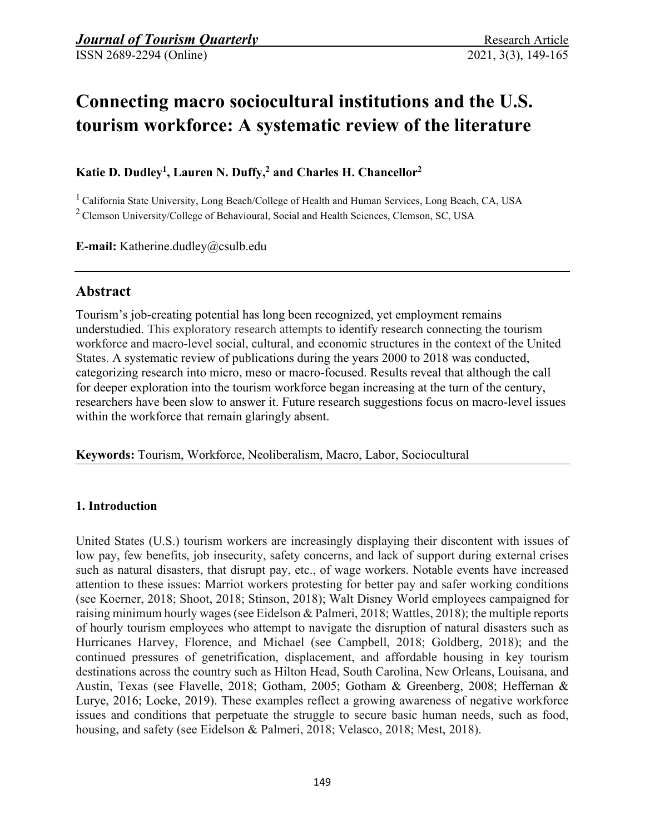# **Connecting macro sociocultural institutions and the U.S. tourism workforce: A systematic review of the literature**

**Katie D. Dudley1, Lauren N. Duffy,2 and Charles H. Chancellor2**

 $^1$  California State University, Long Beach/College of Health and Human Services, Long Beach, CA, USA 2 Clemson University/College of Behavioural, Social and Health Sciences, Clemson, SC, USA

**E-mail:** Katherine.dudley@csulb.edu

# **Abstract**

Tourism's job-creating potential has long been recognized, yet employment remains understudied. This exploratory research attempts to identify research connecting the tourism workforce and macro-level social, cultural, and economic structures in the context of the United States. A systematic review of publications during the years 2000 to 2018 was conducted, categorizing research into micro, meso or macro-focused. Results reveal that although the call for deeper exploration into the tourism workforce began increasing at the turn of the century, researchers have been slow to answer it. Future research suggestions focus on macro-level issues within the workforce that remain glaringly absent.

**Keywords:** Tourism, Workforce, Neoliberalism, Macro, Labor, Sociocultural

### **1. Introduction**

United States (U.S.) tourism workers are increasingly displaying their discontent with issues of low pay, few benefits, job insecurity, safety concerns, and lack of support during external crises such as natural disasters, that disrupt pay, etc., of wage workers. Notable events have increased attention to these issues: Marriot workers protesting for better pay and safer working conditions (see Koerner, 2018; Shoot, 2018; Stinson, 2018); Walt Disney World employees campaigned for raising minimum hourly wages (see Eidelson & Palmeri, 2018; Wattles, 2018); the multiple reports of hourly tourism employees who attempt to navigate the disruption of natural disasters such as Hurricanes Harvey, Florence, and Michael (see Campbell, 2018; Goldberg, 2018); and the continued pressures of genetrification, displacement, and affordable housing in key tourism destinations across the country such as Hilton Head, South Carolina, New Orleans, Louisana, and Austin, Texas (see Flavelle, 2018; Gotham, 2005; Gotham & Greenberg, 2008; Heffernan & Lurye, 2016; Locke, 2019). These examples reflect a growing awareness of negative workforce issues and conditions that perpetuate the struggle to secure basic human needs, such as food, housing, and safety (see Eidelson & Palmeri, 2018; Velasco, 2018; Mest, 2018).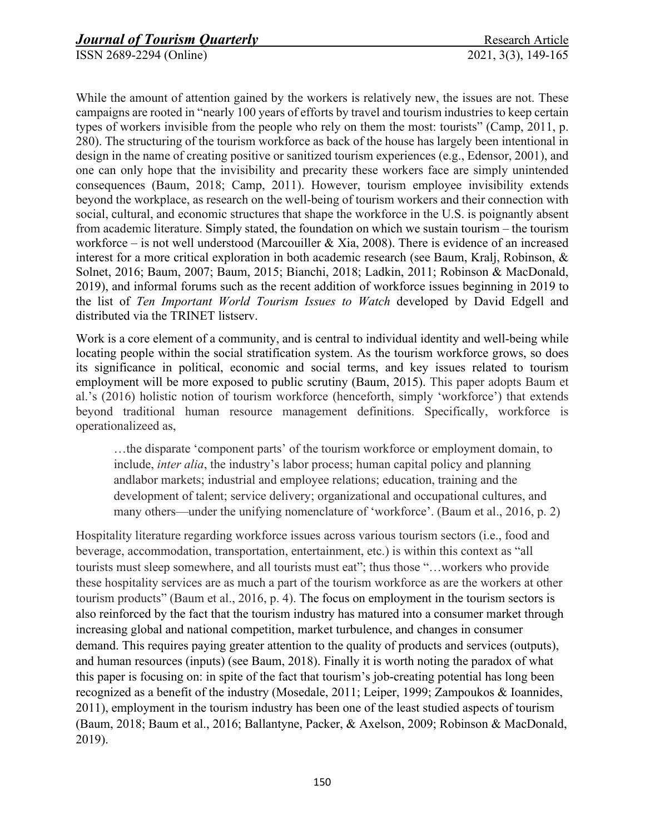While the amount of attention gained by the workers is relatively new, the issues are not. These campaigns are rooted in "nearly 100 years of efforts by travel and tourism industries to keep certain types of workers invisible from the people who rely on them the most: tourists" (Camp, 2011, p. 280). The structuring of the tourism workforce as back of the house has largely been intentional in design in the name of creating positive or sanitized tourism experiences (e.g., Edensor, 2001), and one can only hope that the invisibility and precarity these workers face are simply unintended consequences (Baum, 2018; Camp, 2011). However, tourism employee invisibility extends beyond the workplace, as research on the well-being of tourism workers and their connection with social, cultural, and economic structures that shape the workforce in the U.S. is poignantly absent from academic literature. Simply stated, the foundation on which we sustain tourism – the tourism workforce – is not well understood (Marcouiller & Xia, 2008). There is evidence of an increased interest for a more critical exploration in both academic research (see Baum, Kralj, Robinson, & Solnet, 2016; Baum, 2007; Baum, 2015; Bianchi, 2018; Ladkin, 2011; Robinson & MacDonald, 2019), and informal forums such as the recent addition of workforce issues beginning in 2019 to the list of *Ten Important World Tourism Issues to Watch* developed by David Edgell and distributed via the TRINET listserv.

Work is a core element of a community, and is central to individual identity and well-being while locating people within the social stratification system. As the tourism workforce grows, so does its significance in political, economic and social terms, and key issues related to tourism employment will be more exposed to public scrutiny (Baum, 2015). This paper adopts Baum et al.'s (2016) holistic notion of tourism workforce (henceforth, simply 'workforce') that extends beyond traditional human resource management definitions. Specifically, workforce is operationalizeed as,

…the disparate 'component parts' of the tourism workforce or employment domain, to include, *inter alia*, the industry's labor process; human capital policy and planning andlabor markets; industrial and employee relations; education, training and the development of talent; service delivery; organizational and occupational cultures, and many others—under the unifying nomenclature of 'workforce'. (Baum et al., 2016, p. 2)

Hospitality literature regarding workforce issues across various tourism sectors (i.e., food and beverage, accommodation, transportation, entertainment, etc.) is within this context as "all tourists must sleep somewhere, and all tourists must eat"; thus those "…workers who provide these hospitality services are as much a part of the tourism workforce as are the workers at other tourism products" (Baum et al., 2016, p. 4). The focus on employment in the tourism sectors is also reinforced by the fact that the tourism industry has matured into a consumer market through increasing global and national competition, market turbulence, and changes in consumer demand. This requires paying greater attention to the quality of products and services (outputs), and human resources (inputs) (see Baum, 2018). Finally it is worth noting the paradox of what this paper is focusing on: in spite of the fact that tourism's job-creating potential has long been recognized as a benefit of the industry (Mosedale, 2011; Leiper, 1999; Zampoukos & Ioannides, 2011), employment in the tourism industry has been one of the least studied aspects of tourism (Baum, 2018; Baum et al., 2016; Ballantyne, Packer, & Axelson, 2009; Robinson & MacDonald, 2019).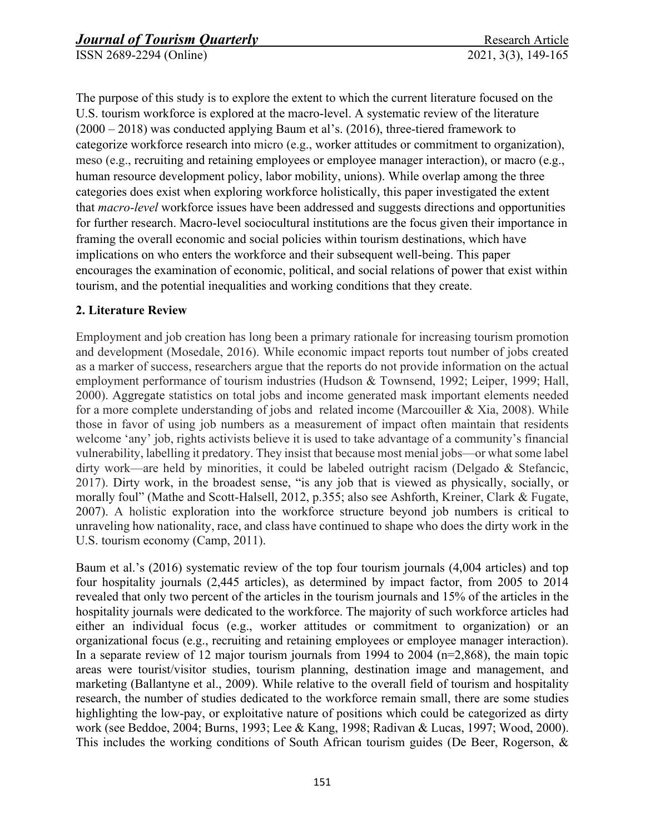The purpose of this study is to explore the extent to which the current literature focused on the U.S. tourism workforce is explored at the macro-level. A systematic review of the literature (2000 – 2018) was conducted applying Baum et al's. (2016), three-tiered framework to categorize workforce research into micro (e.g., worker attitudes or commitment to organization), meso (e.g., recruiting and retaining employees or employee manager interaction), or macro (e.g., human resource development policy, labor mobility, unions). While overlap among the three categories does exist when exploring workforce holistically, this paper investigated the extent that *macro-level* workforce issues have been addressed and suggests directions and opportunities for further research. Macro-level sociocultural institutions are the focus given their importance in framing the overall economic and social policies within tourism destinations, which have implications on who enters the workforce and their subsequent well-being. This paper encourages the examination of economic, political, and social relations of power that exist within tourism, and the potential inequalities and working conditions that they create.

# **2. Literature Review**

Employment and job creation has long been a primary rationale for increasing tourism promotion and development (Mosedale, 2016). While economic impact reports tout number of jobs created as a marker of success, researchers argue that the reports do not provide information on the actual employment performance of tourism industries (Hudson & Townsend, 1992; Leiper, 1999; Hall, 2000). Aggregate statistics on total jobs and income generated mask important elements needed for a more complete understanding of jobs and related income (Marcouiller & Xia, 2008). While those in favor of using job numbers as a measurement of impact often maintain that residents welcome 'any' job, rights activists believe it is used to take advantage of a community's financial vulnerability, labelling it predatory. They insist that because most menial jobs—or what some label dirty work—are held by minorities, it could be labeled outright racism (Delgado & Stefancic, 2017). Dirty work, in the broadest sense, "is any job that is viewed as physically, socially, or morally foul" (Mathe and Scott-Halsell, 2012, p.355; also see Ashforth, Kreiner, Clark & Fugate, 2007). A holistic exploration into the workforce structure beyond job numbers is critical to unraveling how nationality, race, and class have continued to shape who does the dirty work in the U.S. tourism economy (Camp, 2011).

Baum et al.'s (2016) systematic review of the top four tourism journals (4,004 articles) and top four hospitality journals (2,445 articles), as determined by impact factor, from 2005 to 2014 revealed that only two percent of the articles in the tourism journals and 15% of the articles in the hospitality journals were dedicated to the workforce. The majority of such workforce articles had either an individual focus (e.g., worker attitudes or commitment to organization) or an organizational focus (e.g., recruiting and retaining employees or employee manager interaction). In a separate review of 12 major tourism journals from 1994 to 2004 ( $n=2,868$ ), the main topic areas were tourist/visitor studies, tourism planning, destination image and management, and marketing (Ballantyne et al., 2009). While relative to the overall field of tourism and hospitality research, the number of studies dedicated to the workforce remain small, there are some studies highlighting the low-pay, or exploitative nature of positions which could be categorized as dirty work (see Beddoe, 2004; Burns, 1993; Lee & Kang, 1998; Radivan & Lucas, 1997; Wood, 2000). This includes the working conditions of South African tourism guides (De Beer, Rogerson, &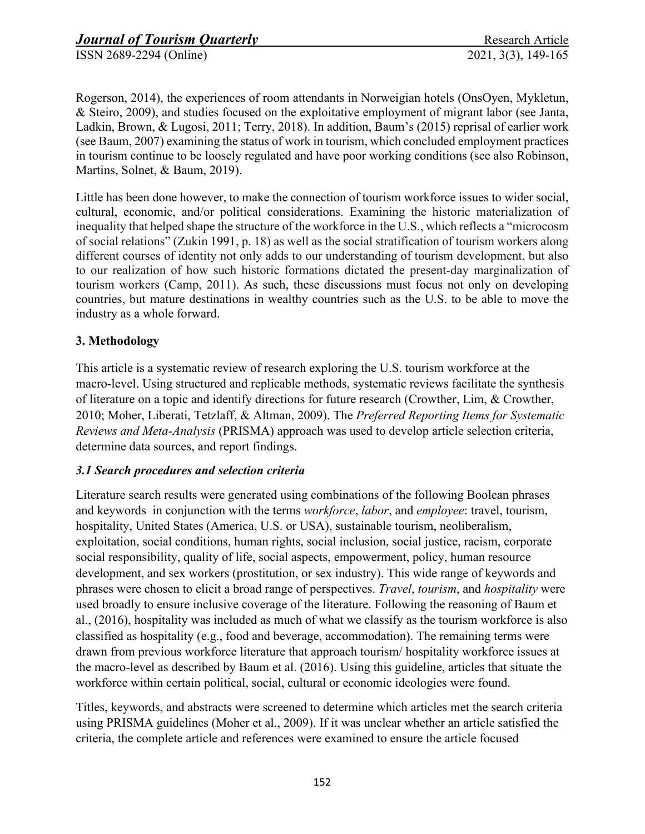Rogerson, 2014), the experiences of room attendants in Norweigian hotels (OnsOyen, Mykletun, & Steiro, 2009), and studies focused on the exploitative employment of migrant labor (see Janta, Ladkin, Brown, & Lugosi, 2011; Terry, 2018). In addition, Baum's (2015) reprisal of earlier work (see Baum, 2007) examining the status of work in tourism, which concluded employment practices in tourism continue to be loosely regulated and have poor working conditions (see also Robinson, Martins, Solnet, & Baum, 2019).

Little has been done however, to make the connection of tourism workforce issues to wider social, cultural, economic, and/or political considerations. Examining the historic materialization of inequality that helped shape the structure of the workforce in the U.S., which reflects a "microcosm of social relations" (Zukin 1991, p. 18) as well as the social stratification of tourism workers along different courses of identity not only adds to our understanding of tourism development, but also to our realization of how such historic formations dictated the present-day marginalization of tourism workers (Camp, 2011). As such, these discussions must focus not only on developing countries, but mature destinations in wealthy countries such as the U.S. to be able to move the industry as a whole forward.

# **3. Methodology**

This article is a systematic review of research exploring the U.S. tourism workforce at the macro-level. Using structured and replicable methods, systematic reviews facilitate the synthesis of literature on a topic and identify directions for future research (Crowther, Lim, & Crowther, 2010; Moher, Liberati, Tetzlaff, & Altman, 2009). The *Preferred Reporting Items for Systematic Reviews and Meta-Analysis* (PRISMA) approach was used to develop article selection criteria, determine data sources, and report findings.

### *3.1 Search procedures and selection criteria*

Literature search results were generated using combinations of the following Boolean phrases and keywords in conjunction with the terms *workforce*, *labor*, and *employee*: travel, tourism, hospitality, United States (America, U.S. or USA), sustainable tourism, neoliberalism, exploitation, social conditions, human rights, social inclusion, social justice, racism, corporate social responsibility, quality of life, social aspects, empowerment, policy, human resource development, and sex workers (prostitution, or sex industry). This wide range of keywords and phrases were chosen to elicit a broad range of perspectives. *Travel*, *tourism*, and *hospitality* were used broadly to ensure inclusive coverage of the literature. Following the reasoning of Baum et al., (2016), hospitality was included as much of what we classify as the tourism workforce is also classified as hospitality (e.g., food and beverage, accommodation). The remaining terms were drawn from previous workforce literature that approach tourism/ hospitality workforce issues at the macro-level as described by Baum et al. (2016). Using this guideline, articles that situate the workforce within certain political, social, cultural or economic ideologies were found.

Titles, keywords, and abstracts were screened to determine which articles met the search criteria using PRISMA guidelines (Moher et al., 2009). If it was unclear whether an article satisfied the criteria, the complete article and references were examined to ensure the article focused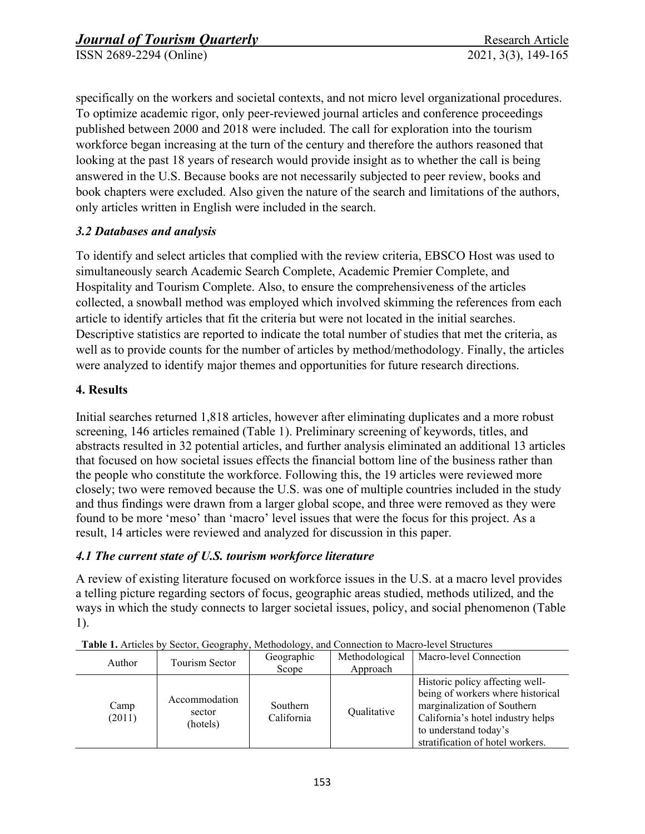specifically on the workers and societal contexts, and not micro level organizational procedures. To optimize academic rigor, only peer-reviewed journal articles and conference proceedings published between 2000 and 2018 were included. The call for exploration into the tourism workforce began increasing at the turn of the century and therefore the authors reasoned that looking at the past 18 years of research would provide insight as to whether the call is being answered in the U.S. Because books are not necessarily subjected to peer review, books and book chapters were excluded. Also given the nature of the search and limitations of the authors, only articles written in English were included in the search.

# *3.2 Databases and analysis*

To identify and select articles that complied with the review criteria, EBSCO Host was used to simultaneously search Academic Search Complete, Academic Premier Complete, and Hospitality and Tourism Complete. Also, to ensure the comprehensiveness of the articles collected, a snowball method was employed which involved skimming the references from each article to identify articles that fit the criteria but were not located in the initial searches. Descriptive statistics are reported to indicate the total number of studies that met the criteria, as well as to provide counts for the number of articles by method/methodology. Finally, the articles were analyzed to identify major themes and opportunities for future research directions.

# **4. Results**

Initial searches returned 1,818 articles, however after eliminating duplicates and a more robust screening, 146 articles remained (Table 1). Preliminary screening of keywords, titles, and abstracts resulted in 32 potential articles, and further analysis eliminated an additional 13 articles that focused on how societal issues effects the financial bottom line of the business rather than the people who constitute the workforce. Following this, the 19 articles were reviewed more closely; two were removed because the U.S. was one of multiple countries included in the study and thus findings were drawn from a larger global scope, and three were removed as they were found to be more 'meso' than 'macro' level issues that were the focus for this project. As a result, 14 articles were reviewed and analyzed for discussion in this paper.

### *4.1 The current state of U.S. tourism workforce literature*

A review of existing literature focused on workforce issues in the U.S. at a macro level provides a telling picture regarding sectors of focus, geographic areas studied, methods utilized, and the ways in which the study connects to larger societal issues, policy, and social phenomenon (Table 1).

| Author         | Tourism Sector                      | ، ب<br>Geographic<br>Scope | Methodological<br>Approach | Macro-level Connection                                                                                                                                                                                |
|----------------|-------------------------------------|----------------------------|----------------------------|-------------------------------------------------------------------------------------------------------------------------------------------------------------------------------------------------------|
| Camp<br>(2011) | Accommodation<br>sector<br>(hotels) | Southern<br>California     | Qualitative                | Historic policy affecting well-<br>being of workers where historical<br>marginalization of Southern<br>California's hotel industry helps<br>to understand today's<br>stratification of hotel workers. |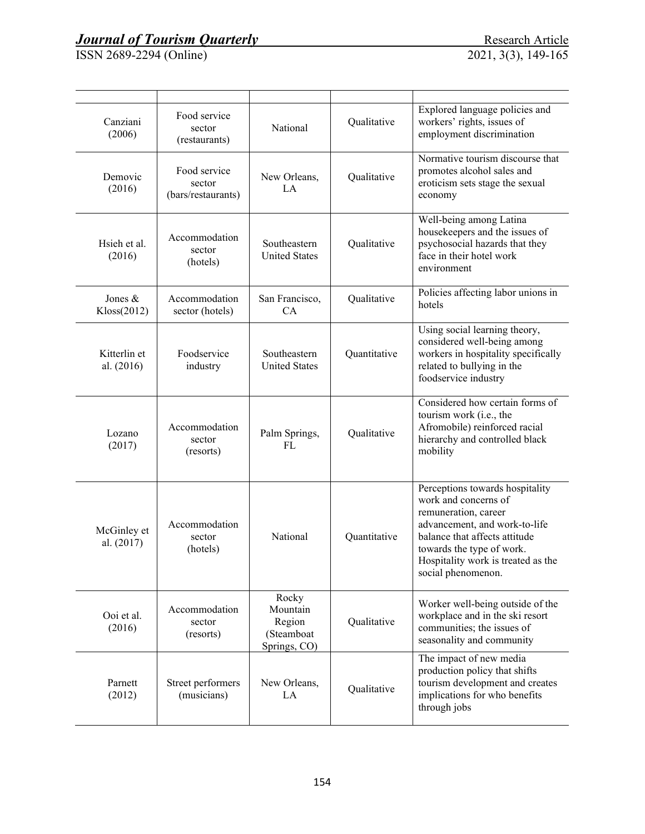| Canziani<br>(2006)         | Food service<br>sector<br>(restaurants)      | National                                                  | Qualitative  | Explored language policies and<br>workers' rights, issues of<br>employment discrimination                                                                                                                                                  |
|----------------------------|----------------------------------------------|-----------------------------------------------------------|--------------|--------------------------------------------------------------------------------------------------------------------------------------------------------------------------------------------------------------------------------------------|
| Demovic<br>(2016)          | Food service<br>sector<br>(bars/restaurants) | New Orleans,<br>LA.                                       | Qualitative  | Normative tourism discourse that<br>promotes alcohol sales and<br>eroticism sets stage the sexual<br>economy                                                                                                                               |
| Hsieh et al.<br>(2016)     | Accommodation<br>sector<br>(hotels)          | Southeastern<br><b>United States</b>                      | Qualitative  | Well-being among Latina<br>housekeepers and the issues of<br>psychosocial hazards that they<br>face in their hotel work<br>environment                                                                                                     |
| Jones $&$<br>Kloss(2012)   | Accommodation<br>sector (hotels)             | San Francisco,<br>CA                                      | Qualitative  | Policies affecting labor unions in<br>hotels                                                                                                                                                                                               |
| Kitterlin et<br>al. (2016) | Foodservice<br>industry                      | Southeastern<br><b>United States</b>                      | Quantitative | Using social learning theory,<br>considered well-being among<br>workers in hospitality specifically<br>related to bullying in the<br>foodservice industry                                                                                  |
| Lozano<br>(2017)           | Accommodation<br>sector<br>(resorts)         | Palm Springs,<br>FL                                       | Qualitative  | Considered how certain forms of<br>tourism work (i.e., the<br>Afromobile) reinforced racial<br>hierarchy and controlled black<br>mobility                                                                                                  |
| McGinley et<br>al. (2017)  | Accommodation<br>sector<br>(hotels)          | National                                                  | Quantitative | Perceptions towards hospitality<br>work and concerns of<br>remuneration, career<br>advancement, and work-to-life<br>balance that affects attitude<br>towards the type of work.<br>Hospitality work is treated as the<br>social phenomenon. |
| Ooi et al.<br>(2016)       | Accommodation<br>sector<br>(resorts)         | Rocky<br>Mountain<br>Region<br>(Steamboat<br>Springs, CO) | Qualitative  | Worker well-being outside of the<br>workplace and in the ski resort<br>communities; the issues of<br>seasonality and community                                                                                                             |
| Parnett<br>(2012)          | Street performers<br>(musicians)             | New Orleans,<br>LA                                        | Qualitative  | The impact of new media<br>production policy that shifts<br>tourism development and creates<br>implications for who benefits<br>through jobs                                                                                               |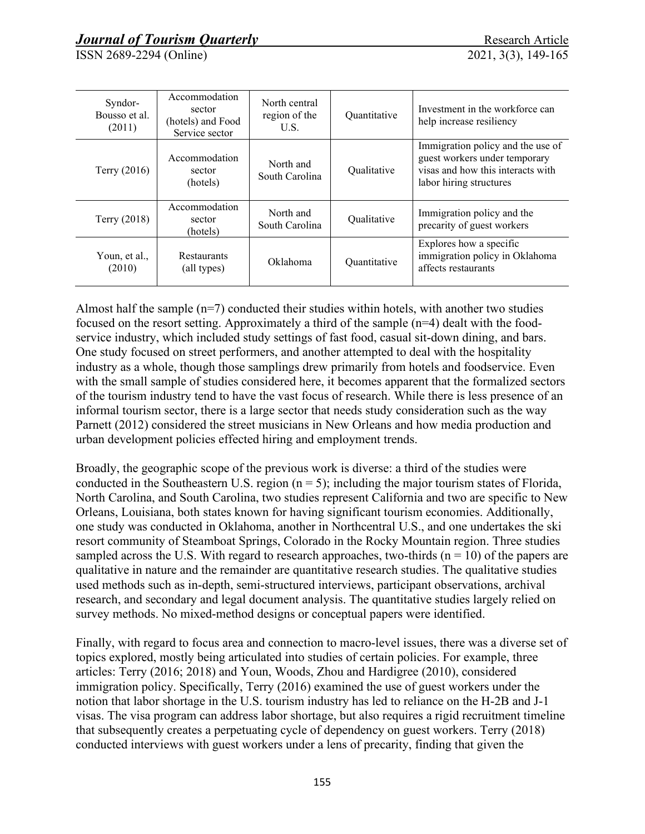ISSN 2689-2294 (Online) 2021, 3(3), 149-165

| Syndor-<br>Bousso et al.<br>(2011) | Accommodation<br>sector<br>(hotels) and Food<br>Service sector | North central<br>region of the<br>U.S. | Quantitative | Investment in the workforce can<br>help increase resiliency                                                                        |
|------------------------------------|----------------------------------------------------------------|----------------------------------------|--------------|------------------------------------------------------------------------------------------------------------------------------------|
| Terry $(2016)$                     | Accommodation<br>sector<br>(hotels)                            | North and<br>South Carolina            | Oualitative  | Immigration policy and the use of<br>guest workers under temporary<br>visas and how this interacts with<br>labor hiring structures |
| Terry $(2018)$                     | Accommodation<br>sector<br>(hotels)                            | North and<br>South Carolina            | Qualitative  | Immigration policy and the<br>precarity of guest workers                                                                           |
| Youn, et al.,<br>(2010)            | Restaurants<br>(all types)                                     | Oklahoma                               | Quantitative | Explores how a specific<br>immigration policy in Oklahoma<br>affects restaurants                                                   |

Almost half the sample  $(n=7)$  conducted their studies within hotels, with another two studies focused on the resort setting. Approximately a third of the sample (n=4) dealt with the foodservice industry, which included study settings of fast food, casual sit-down dining, and bars. One study focused on street performers, and another attempted to deal with the hospitality industry as a whole, though those samplings drew primarily from hotels and foodservice. Even with the small sample of studies considered here, it becomes apparent that the formalized sectors of the tourism industry tend to have the vast focus of research. While there is less presence of an informal tourism sector, there is a large sector that needs study consideration such as the way Parnett (2012) considered the street musicians in New Orleans and how media production and urban development policies effected hiring and employment trends.

Broadly, the geographic scope of the previous work is diverse: a third of the studies were conducted in the Southeastern U.S. region  $(n = 5)$ ; including the major tourism states of Florida, North Carolina, and South Carolina, two studies represent California and two are specific to New Orleans, Louisiana, both states known for having significant tourism economies. Additionally, one study was conducted in Oklahoma, another in Northcentral U.S., and one undertakes the ski resort community of Steamboat Springs, Colorado in the Rocky Mountain region. Three studies sampled across the U.S. With regard to research approaches, two-thirds  $(n = 10)$  of the papers are qualitative in nature and the remainder are quantitative research studies. The qualitative studies used methods such as in-depth, semi-structured interviews, participant observations, archival research, and secondary and legal document analysis. The quantitative studies largely relied on survey methods. No mixed-method designs or conceptual papers were identified.

Finally, with regard to focus area and connection to macro-level issues, there was a diverse set of topics explored, mostly being articulated into studies of certain policies. For example, three articles: Terry (2016; 2018) and Youn, Woods, Zhou and Hardigree (2010), considered immigration policy. Specifically, Terry (2016) examined the use of guest workers under the notion that labor shortage in the U.S. tourism industry has led to reliance on the H-2B and J-1 visas. The visa program can address labor shortage, but also requires a rigid recruitment timeline that subsequently creates a perpetuating cycle of dependency on guest workers. Terry (2018) conducted interviews with guest workers under a lens of precarity, finding that given the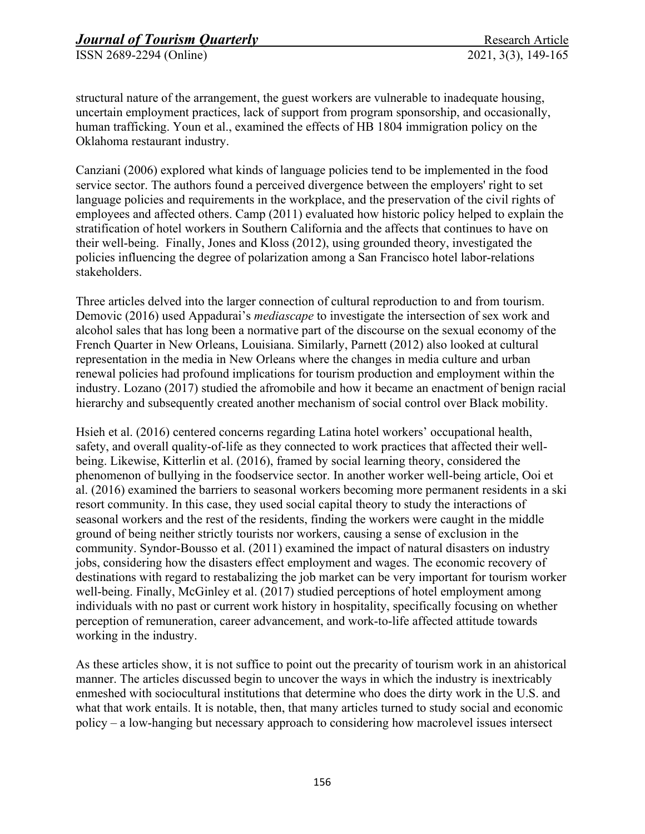structural nature of the arrangement, the guest workers are vulnerable to inadequate housing, uncertain employment practices, lack of support from program sponsorship, and occasionally, human trafficking. Youn et al., examined the effects of HB 1804 immigration policy on the Oklahoma restaurant industry.

Canziani (2006) explored what kinds of language policies tend to be implemented in the food service sector. The authors found a perceived divergence between the employers' right to set language policies and requirements in the workplace, and the preservation of the civil rights of employees and affected others. Camp (2011) evaluated how historic policy helped to explain the stratification of hotel workers in Southern California and the affects that continues to have on their well-being. Finally, Jones and Kloss (2012), using grounded theory, investigated the policies influencing the degree of polarization among a San Francisco hotel labor-relations stakeholders.

Three articles delved into the larger connection of cultural reproduction to and from tourism. Demovic (2016) used Appadurai's *mediascape* to investigate the intersection of sex work and alcohol sales that has long been a normative part of the discourse on the sexual economy of the French Quarter in New Orleans, Louisiana. Similarly, Parnett (2012) also looked at cultural representation in the media in New Orleans where the changes in media culture and urban renewal policies had profound implications for tourism production and employment within the industry. Lozano (2017) studied the afromobile and how it became an enactment of benign racial hierarchy and subsequently created another mechanism of social control over Black mobility.

Hsieh et al. (2016) centered concerns regarding Latina hotel workers' occupational health, safety, and overall quality-of-life as they connected to work practices that affected their wellbeing. Likewise, Kitterlin et al. (2016), framed by social learning theory, considered the phenomenon of bullying in the foodservice sector. In another worker well-being article, Ooi et al. (2016) examined the barriers to seasonal workers becoming more permanent residents in a ski resort community. In this case, they used social capital theory to study the interactions of seasonal workers and the rest of the residents, finding the workers were caught in the middle ground of being neither strictly tourists nor workers, causing a sense of exclusion in the community. Syndor-Bousso et al. (2011) examined the impact of natural disasters on industry jobs, considering how the disasters effect employment and wages. The economic recovery of destinations with regard to restabalizing the job market can be very important for tourism worker well-being. Finally, McGinley et al. (2017) studied perceptions of hotel employment among individuals with no past or current work history in hospitality, specifically focusing on whether perception of remuneration, career advancement, and work-to-life affected attitude towards working in the industry.

As these articles show, it is not suffice to point out the precarity of tourism work in an ahistorical manner. The articles discussed begin to uncover the ways in which the industry is inextricably enmeshed with sociocultural institutions that determine who does the dirty work in the U.S. and what that work entails. It is notable, then, that many articles turned to study social and economic policy – a low-hanging but necessary approach to considering how macrolevel issues intersect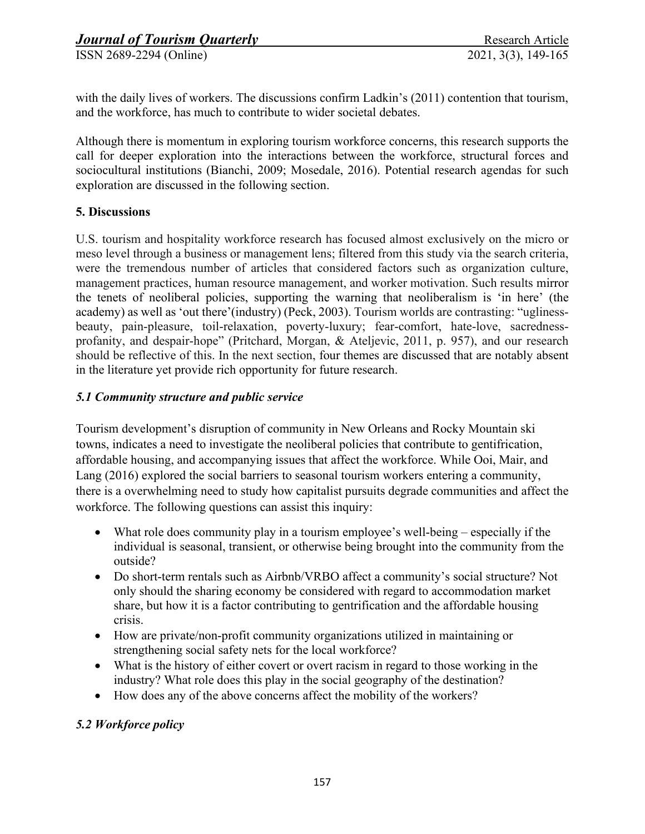with the daily lives of workers. The discussions confirm Ladkin's (2011) contention that tourism, and the workforce, has much to contribute to wider societal debates.

Although there is momentum in exploring tourism workforce concerns, this research supports the call for deeper exploration into the interactions between the workforce, structural forces and sociocultural institutions (Bianchi, 2009; Mosedale, 2016). Potential research agendas for such exploration are discussed in the following section.

### **5. Discussions**

U.S. tourism and hospitality workforce research has focused almost exclusively on the micro or meso level through a business or management lens; filtered from this study via the search criteria, were the tremendous number of articles that considered factors such as organization culture, management practices, human resource management, and worker motivation. Such results mirror the tenets of neoliberal policies, supporting the warning that neoliberalism is 'in here' (the academy) as well as 'out there'(industry) (Peck, 2003). Tourism worlds are contrasting: "uglinessbeauty, pain-pleasure, toil-relaxation, poverty-luxury; fear-comfort, hate-love, sacrednessprofanity, and despair-hope" (Pritchard, Morgan, & Ateljevic, 2011, p. 957), and our research should be reflective of this. In the next section, four themes are discussed that are notably absent in the literature yet provide rich opportunity for future research.

### *5.1 Community structure and public service*

Tourism development's disruption of community in New Orleans and Rocky Mountain ski towns, indicates a need to investigate the neoliberal policies that contribute to gentifrication, affordable housing, and accompanying issues that affect the workforce. While Ooi, Mair, and Lang (2016) explored the social barriers to seasonal tourism workers entering a community, there is a overwhelming need to study how capitalist pursuits degrade communities and affect the workforce. The following questions can assist this inquiry:

- What role does community play in a tourism employee's well-being especially if the individual is seasonal, transient, or otherwise being brought into the community from the outside?
- Do short-term rentals such as Airbnb/VRBO affect a community's social structure? Not only should the sharing economy be considered with regard to accommodation market share, but how it is a factor contributing to gentrification and the affordable housing crisis.
- How are private/non-profit community organizations utilized in maintaining or strengthening social safety nets for the local workforce?
- What is the history of either covert or overt racism in regard to those working in the industry? What role does this play in the social geography of the destination?
- How does any of the above concerns affect the mobility of the workers?

### *5.2 Workforce policy*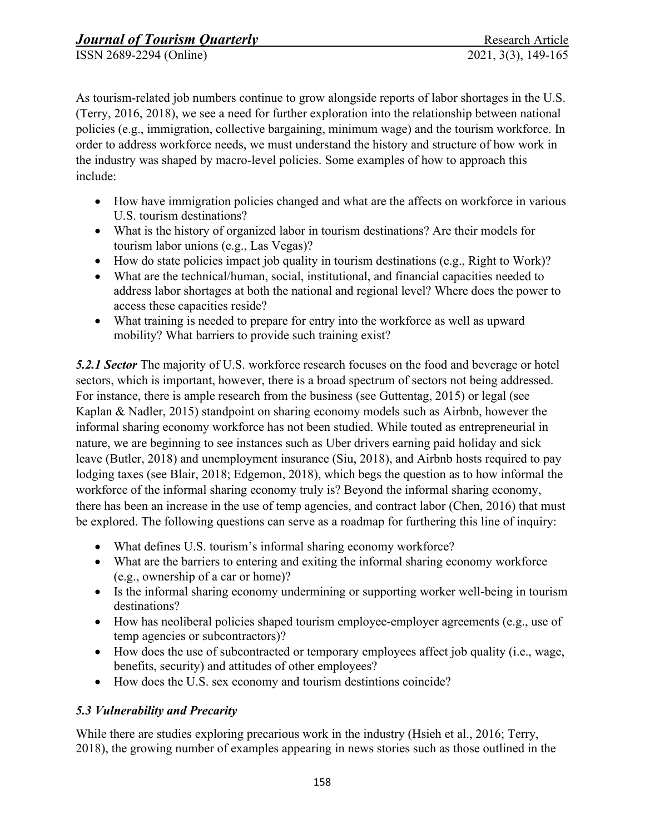As tourism-related job numbers continue to grow alongside reports of labor shortages in the U.S. (Terry, 2016, 2018), we see a need for further exploration into the relationship between national policies (e.g., immigration, collective bargaining, minimum wage) and the tourism workforce. In order to address workforce needs, we must understand the history and structure of how work in the industry was shaped by macro-level policies. Some examples of how to approach this include:

- How have immigration policies changed and what are the affects on workforce in various U.S. tourism destinations?
- What is the history of organized labor in tourism destinations? Are their models for tourism labor unions (e.g., Las Vegas)?
- How do state policies impact job quality in tourism destinations (e.g., Right to Work)?
- What are the technical/human, social, institutional, and financial capacities needed to address labor shortages at both the national and regional level? Where does the power to access these capacities reside?
- What training is needed to prepare for entry into the workforce as well as upward mobility? What barriers to provide such training exist?

*5.2.1 Sector* The majority of U.S. workforce research focuses on the food and beverage or hotel sectors, which is important, however, there is a broad spectrum of sectors not being addressed. For instance, there is ample research from the business (see Guttentag, 2015) or legal (see Kaplan & Nadler, 2015) standpoint on sharing economy models such as Airbnb, however the informal sharing economy workforce has not been studied. While touted as entrepreneurial in nature, we are beginning to see instances such as Uber drivers earning paid holiday and sick leave (Butler, 2018) and unemployment insurance (Siu, 2018), and Airbnb hosts required to pay lodging taxes (see Blair, 2018; Edgemon, 2018), which begs the question as to how informal the workforce of the informal sharing economy truly is? Beyond the informal sharing economy, there has been an increase in the use of temp agencies, and contract labor (Chen, 2016) that must be explored. The following questions can serve as a roadmap for furthering this line of inquiry:

- What defines U.S. tourism's informal sharing economy workforce?
- What are the barriers to entering and exiting the informal sharing economy workforce (e.g., ownership of a car or home)?
- Is the informal sharing economy undermining or supporting worker well-being in tourism destinations?
- How has neoliberal policies shaped tourism employee-employer agreements (e.g., use of temp agencies or subcontractors)?
- How does the use of subcontracted or temporary employees affect job quality (i.e., wage, benefits, security) and attitudes of other employees?
- How does the U.S. sex economy and tourism destintions coincide?

# *5.3 Vulnerability and Precarity*

While there are studies exploring precarious work in the industry (Hsieh et al., 2016; Terry, 2018), the growing number of examples appearing in news stories such as those outlined in the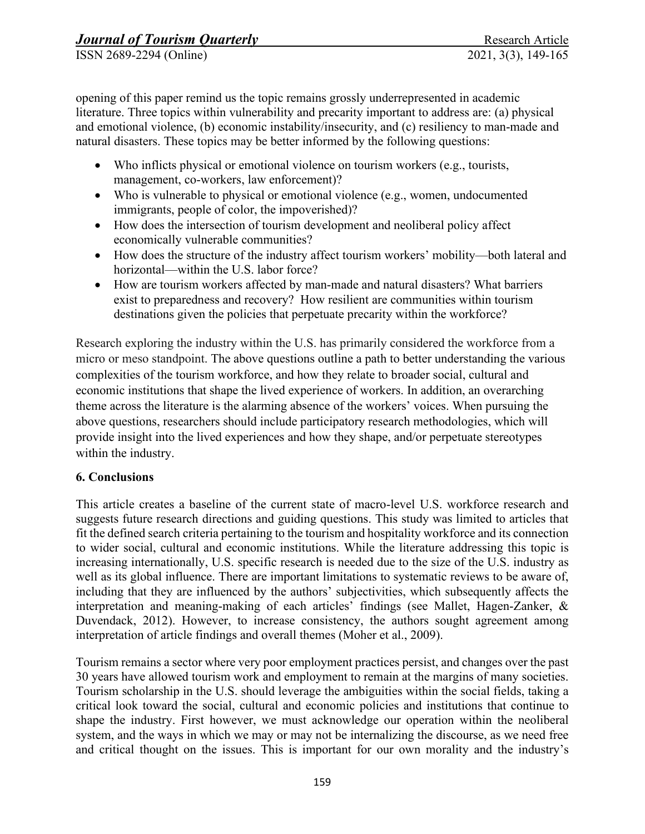opening of this paper remind us the topic remains grossly underrepresented in academic literature. Three topics within vulnerability and precarity important to address are: (a) physical and emotional violence, (b) economic instability/insecurity, and (c) resiliency to man-made and natural disasters. These topics may be better informed by the following questions:

- Who inflicts physical or emotional violence on tourism workers (e.g., tourists, management, co-workers, law enforcement)?
- Who is vulnerable to physical or emotional violence (e.g., women, undocumented immigrants, people of color, the impoverished)?
- How does the intersection of tourism development and neoliberal policy affect economically vulnerable communities?
- How does the structure of the industry affect tourism workers' mobility—both lateral and horizontal—within the U.S. labor force?
- How are tourism workers affected by man-made and natural disasters? What barriers exist to preparedness and recovery? How resilient are communities within tourism destinations given the policies that perpetuate precarity within the workforce?

Research exploring the industry within the U.S. has primarily considered the workforce from a micro or meso standpoint. The above questions outline a path to better understanding the various complexities of the tourism workforce, and how they relate to broader social, cultural and economic institutions that shape the lived experience of workers. In addition, an overarching theme across the literature is the alarming absence of the workers' voices. When pursuing the above questions, researchers should include participatory research methodologies, which will provide insight into the lived experiences and how they shape, and/or perpetuate stereotypes within the industry.

### **6. Conclusions**

This article creates a baseline of the current state of macro-level U.S. workforce research and suggests future research directions and guiding questions. This study was limited to articles that fit the defined search criteria pertaining to the tourism and hospitality workforce and its connection to wider social, cultural and economic institutions. While the literature addressing this topic is increasing internationally, U.S. specific research is needed due to the size of the U.S. industry as well as its global influence. There are important limitations to systematic reviews to be aware of, including that they are influenced by the authors' subjectivities, which subsequently affects the interpretation and meaning-making of each articles' findings (see Mallet, Hagen-Zanker, & Duvendack, 2012). However, to increase consistency, the authors sought agreement among interpretation of article findings and overall themes (Moher et al., 2009).

Tourism remains a sector where very poor employment practices persist, and changes over the past 30 years have allowed tourism work and employment to remain at the margins of many societies. Tourism scholarship in the U.S. should leverage the ambiguities within the social fields, taking a critical look toward the social, cultural and economic policies and institutions that continue to shape the industry. First however, we must acknowledge our operation within the neoliberal system, and the ways in which we may or may not be internalizing the discourse, as we need free and critical thought on the issues. This is important for our own morality and the industry's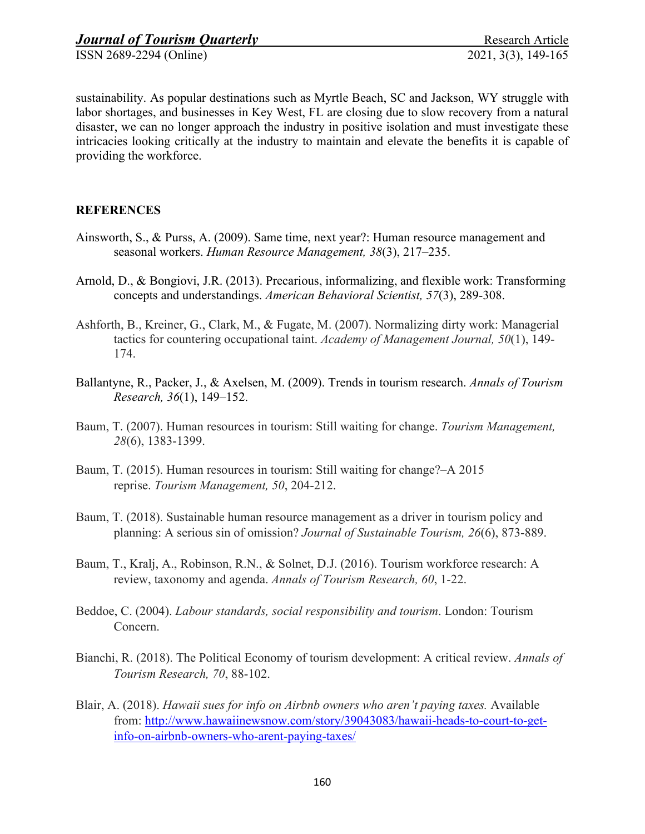ISSN 2689-2294 (Online)

sustainability. As popular destinations such as Myrtle Beach, SC and Jackson, WY struggle with labor shortages, and businesses in Key West, FL are closing due to slow recovery from a natural disaster, we can no longer approach the industry in positive isolation and must investigate these intricacies looking critically at the industry to maintain and elevate the benefits it is capable of providing the workforce.

### **REFERENCES**

- Ainsworth, S., & Purss, A. (2009). Same time, next year?: Human resource management and seasonal workers. *Human Resource Management, 38*(3), 217–235.
- Arnold, D., & Bongiovi, J.R. (2013). Precarious, informalizing, and flexible work: Transforming concepts and understandings. *American Behavioral Scientist, 57*(3), 289-308.
- Ashforth, B., Kreiner, G., Clark, M., & Fugate, M. (2007). Normalizing dirty work: Managerial tactics for countering occupational taint. *Academy of Management Journal, 50*(1), 149- 174.
- Ballantyne, R., Packer, J., & Axelsen, M. (2009). Trends in tourism research. *Annals of Tourism Research, 36*(1), 149–152.
- Baum, T. (2007). Human resources in tourism: Still waiting for change. *Tourism Management, 28*(6), 1383-1399.
- Baum, T. (2015). Human resources in tourism: Still waiting for change?–A 2015 reprise. *Tourism Management, 50*, 204-212.
- Baum, T. (2018). Sustainable human resource management as a driver in tourism policy and planning: A serious sin of omission? *Journal of Sustainable Tourism, 26*(6), 873-889.
- Baum, T., Kralj, A., Robinson, R.N., & Solnet, D.J. (2016). Tourism workforce research: A review, taxonomy and agenda. *Annals of Tourism Research, 60*, 1-22.
- Beddoe, C. (2004). *Labour standards, social responsibility and tourism*. London: Tourism Concern.
- Bianchi, R. (2018). The Political Economy of tourism development: A critical review. *Annals of Tourism Research, 70*, 88-102.
- Blair, A. (2018). *Hawaii sues for info on Airbnb owners who aren't paying taxes.* Available from: [http://www.hawaiinewsnow.com/story/39043083/hawaii-heads-to-court-to-get](http://www.hawaiinewsnow.com/story/39043083/hawaii-heads-to-court-to-get-info-on-airbnb-owners-who-arent-paying-taxes/)[info-on-airbnb-owners-who-arent-paying-taxes/](http://www.hawaiinewsnow.com/story/39043083/hawaii-heads-to-court-to-get-info-on-airbnb-owners-who-arent-paying-taxes/)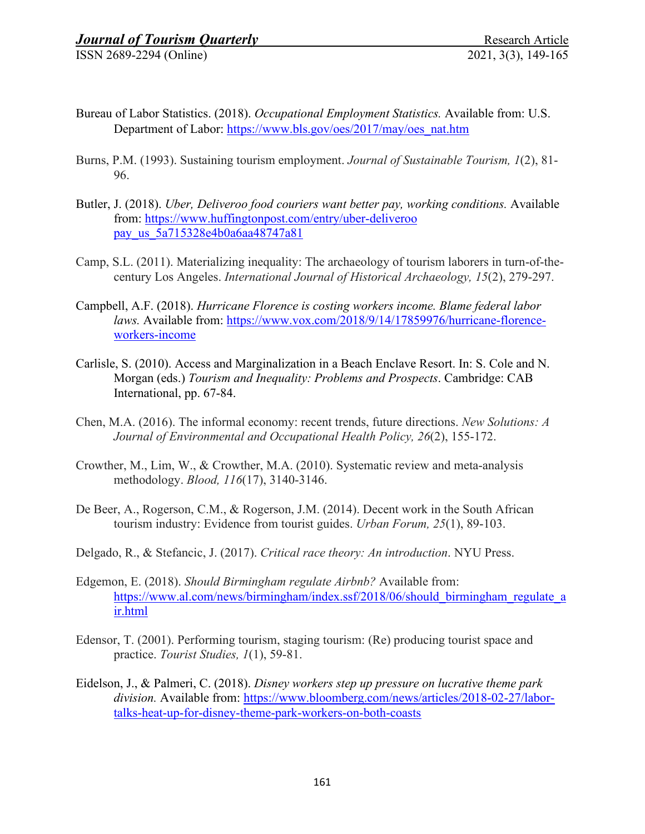ISSN 2689-2294 (Online)

- Bureau of Labor Statistics. (2018). *Occupational Employment Statistics.* Available from: U.S. Department of Labor: [https://www.bls.gov/oes/2017/may/oes\\_nat.htm](https://www.bls.gov/oes/2017/may/oes_nat.htm)
- Burns, P.M. (1993). Sustaining tourism employment. *Journal of Sustainable Tourism, 1*(2), 81- 96.
- Butler, J. (2018). *Uber, Deliveroo food couriers want better pay, working conditions.* Available from: [https://www.huffingtonpost.com/entry/uber-deliveroo](https://www.huffingtonpost.com/entry/uber-deliveroo%20pay_us_5a715328e4b0a6aa48747a81)  [pay\\_us\\_5a715328e4b0a6aa48747a81](https://www.huffingtonpost.com/entry/uber-deliveroo%20pay_us_5a715328e4b0a6aa48747a81)
- Camp, S.L. (2011). Materializing inequality: The archaeology of tourism laborers in turn-of-thecentury Los Angeles. *International Journal of Historical Archaeology, 15*(2), 279-297.
- Campbell, A.F. (2018). *Hurricane Florence is costing workers income. Blame federal labor laws.* Available from: [https://www.vox.com/2018/9/14/17859976/hurricane-florence](https://www.vox.com/2018/9/14/17859976/hurricane-florence-workers-income)[workers-income](https://www.vox.com/2018/9/14/17859976/hurricane-florence-workers-income)
- Carlisle, S. (2010). Access and Marginalization in a Beach Enclave Resort. In: S. Cole and N. Morgan (eds.) *Tourism and Inequality: Problems and Prospects*. Cambridge: CAB International, pp. 67-84.
- Chen, M.A. (2016). The informal economy: recent trends, future directions. *New Solutions: A Journal of Environmental and Occupational Health Policy, 26*(2), 155-172.
- Crowther, M., Lim, W., & Crowther, M.A. (2010). Systematic review and meta-analysis methodology. *Blood, 116*(17), 3140-3146.
- De Beer, A., Rogerson, C.M., & Rogerson, J.M. (2014). Decent work in the South African tourism industry: Evidence from tourist guides. *Urban Forum, 25*(1), 89-103.
- Delgado, R., & Stefancic, J. (2017). *Critical race theory: An introduction*. NYU Press.
- Edgemon, E. (2018). *Should Birmingham regulate Airbnb?* Available from: [https://www.al.com/news/birmingham/index.ssf/2018/06/should\\_birmingham\\_regulate\\_a](https://www.al.com/news/birmingham/index.ssf/2018/06/should_birmingham_regulate_air.html) [ir.html](https://www.al.com/news/birmingham/index.ssf/2018/06/should_birmingham_regulate_air.html)
- Edensor, T. (2001). Performing tourism, staging tourism: (Re) producing tourist space and practice. *Tourist Studies, 1*(1), 59-81.
- Eidelson, J., & Palmeri, C. (2018). *Disney workers step up pressure on lucrative theme park division.* Available from: [https://www.bloomberg.com/news/articles/2018-02-27/labor](https://www.bloomberg.com/news/articles/2018-02-27/labor-talks-heat-up-for-disney-theme-park-workers-on-both-coasts)[talks-heat-up-for-disney-theme-park-workers-on-both-coasts](https://www.bloomberg.com/news/articles/2018-02-27/labor-talks-heat-up-for-disney-theme-park-workers-on-both-coasts)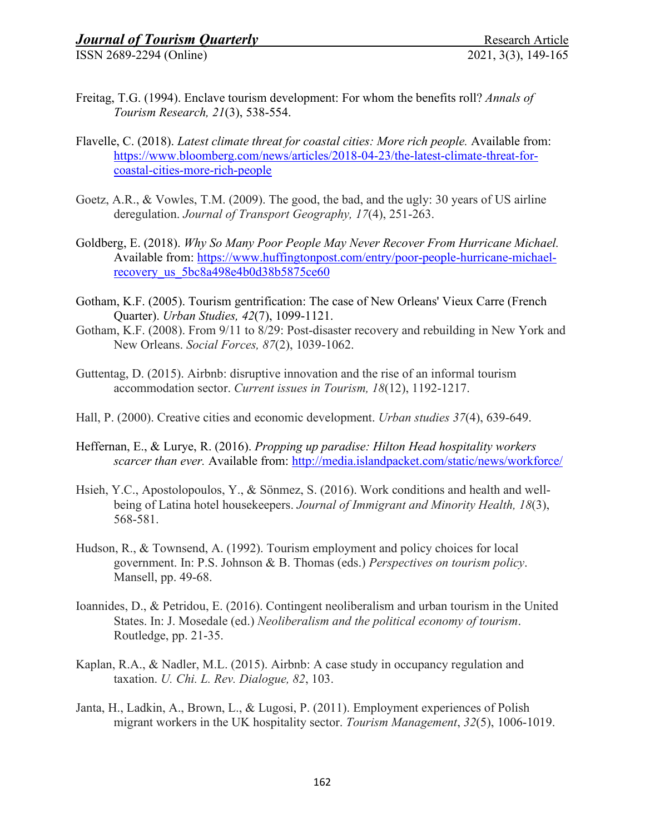- Freitag, T.G. (1994). Enclave tourism development: For whom the benefits roll? *Annals of Tourism Research, 21*(3), 538-554.
- Flavelle, C. (2018). *Latest climate threat for coastal cities: More rich people.* Available from: [https://www.bloomberg.com/news/articles/2018-04-23/the-latest-climate-threat-for](https://www.bloomberg.com/news/articles/2018-04-23/the-latest-climate-threat-for-coastal-cities-more-rich-people)[coastal-cities-more-rich-people](https://www.bloomberg.com/news/articles/2018-04-23/the-latest-climate-threat-for-coastal-cities-more-rich-people)
- Goetz, A.R., & Vowles, T.M. (2009). The good, the bad, and the ugly: 30 years of US airline deregulation. *Journal of Transport Geography, 17*(4), 251-263.
- Goldberg, E. (2018). *Why So Many Poor People May Never Recover From Hurricane Michael.* Available from: [https://www.huffingtonpost.com/entry/poor-people-hurricane-michael](https://www.huffingtonpost.com/entry/poor-people-hurricane-michael-recovery_us_5bc8a498e4b0d38b5875ce60)[recovery\\_us\\_5bc8a498e4b0d38b5875ce60](https://www.huffingtonpost.com/entry/poor-people-hurricane-michael-recovery_us_5bc8a498e4b0d38b5875ce60)
- Gotham, K.F. (2005). Tourism gentrification: The case of New Orleans' Vieux Carre (French Quarter). *Urban Studies, 42*(7), 1099-1121.
- Gotham, K.F. (2008). From 9/11 to 8/29: Post-disaster recovery and rebuilding in New York and New Orleans. *Social Forces, 87*(2), 1039-1062.
- Guttentag, D. (2015). Airbnb: disruptive innovation and the rise of an informal tourism accommodation sector. *Current issues in Tourism, 18*(12), 1192-1217.
- Hall, P. (2000). Creative cities and economic development. *Urban studies 37*(4), 639-649.
- Heffernan, E., & Lurye, R. (2016). *Propping up paradise: Hilton Head hospitality workers scarcer than ever.* Available from:<http://media.islandpacket.com/static/news/workforce/>
- Hsieh, Y.C., Apostolopoulos, Y., & Sönmez, S. (2016). Work conditions and health and wellbeing of Latina hotel housekeepers. *Journal of Immigrant and Minority Health, 18*(3), 568-581.
- Hudson, R., & Townsend, A. (1992). Tourism employment and policy choices for local government. In: P.S. Johnson & B. Thomas (eds.) *Perspectives on tourism policy*. Mansell, pp. 49-68.
- Ioannides, D., & Petridou, E. (2016). Contingent neoliberalism and urban tourism in the United States. In: J. Mosedale (ed.) *Neoliberalism and the political economy of tourism*. Routledge, pp. 21-35.
- Kaplan, R.A., & Nadler, M.L. (2015). Airbnb: A case study in occupancy regulation and taxation. *U. Chi. L. Rev. Dialogue, 82*, 103.
- Janta, H., Ladkin, A., Brown, L., & Lugosi, P. (2011). Employment experiences of Polish migrant workers in the UK hospitality sector. *Tourism Management*, *32*(5), 1006-1019.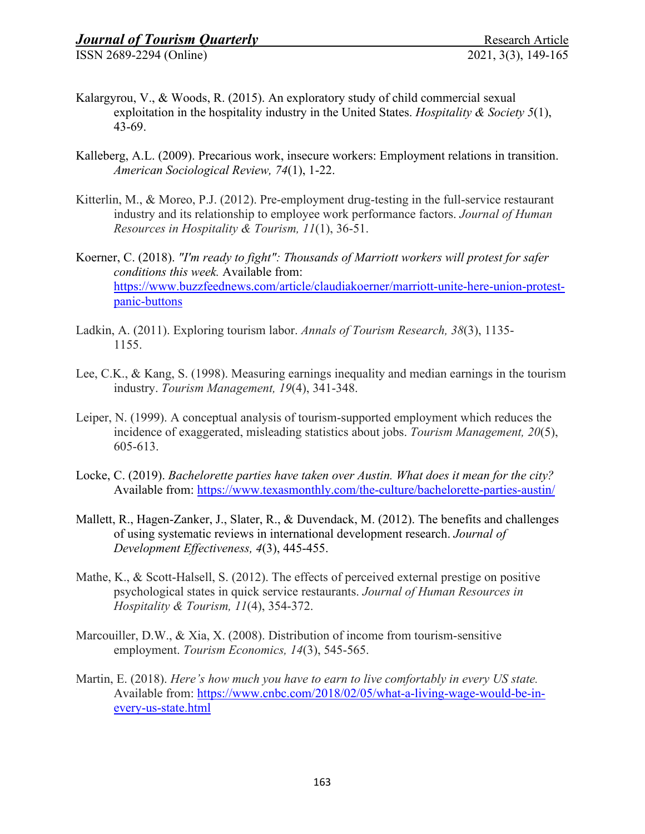- Kalargyrou, V., & Woods, R. (2015). An exploratory study of child commercial sexual exploitation in the hospitality industry in the United States. *Hospitality & Society 5*(1), 43-69.
- Kalleberg, A.L. (2009). Precarious work, insecure workers: Employment relations in transition. *American Sociological Review, 74*(1), 1-22.
- Kitterlin, M., & Moreo, P.J. (2012). Pre-employment drug-testing in the full-service restaurant industry and its relationship to employee work performance factors. *Journal of Human Resources in Hospitality & Tourism, 11*(1), 36-51.
- Koerner, C. (2018). *"I'm ready to fight": Thousands of Marriott workers will protest for safer conditions this week.* Available from: [https://www.buzzfeednews.com/article/claudiakoerner/marriott-unite-here-union-protest](https://www.buzzfeednews.com/article/claudiakoerner/marriott-unite-here-union-protest-panic-buttons)[panic-buttons](https://www.buzzfeednews.com/article/claudiakoerner/marriott-unite-here-union-protest-panic-buttons)
- Ladkin, A. (2011). Exploring tourism labor. *Annals of Tourism Research, 38*(3), 1135- 1155.
- Lee, C.K., & Kang, S. (1998). Measuring earnings inequality and median earnings in the tourism industry. *Tourism Management, 19*(4), 341-348.
- Leiper, N. (1999). A conceptual analysis of tourism-supported employment which reduces the incidence of exaggerated, misleading statistics about jobs. *Tourism Management, 20*(5), 605-613.
- Locke, C. (2019). *Bachelorette parties have taken over Austin. What does it mean for the city?*  Available from:<https://www.texasmonthly.com/the-culture/bachelorette-parties-austin/>
- Mallett, R., Hagen-Zanker, J., Slater, R., & Duvendack, M. (2012). The benefits and challenges of using systematic reviews in international development research. *Journal of Development Effectiveness, 4*(3), 445-455.
- Mathe, K., & Scott-Halsell, S. (2012). The effects of perceived external prestige on positive psychological states in quick service restaurants. *Journal of Human Resources in Hospitality & Tourism, 11*(4), 354-372.
- Marcouiller, D.W., & Xia, X. (2008). Distribution of income from tourism-sensitive employment. *Tourism Economics, 14*(3), 545-565.
- Martin, E. (2018). *Here's how much you have to earn to live comfortably in every US state.*  Available from: [https://www.cnbc.com/2018/02/05/what-a-living-wage-would-be-in](https://www.cnbc.com/2018/02/05/what-a-living-wage-would-be-in-every-us-state.html)[every-us-state.html](https://www.cnbc.com/2018/02/05/what-a-living-wage-would-be-in-every-us-state.html)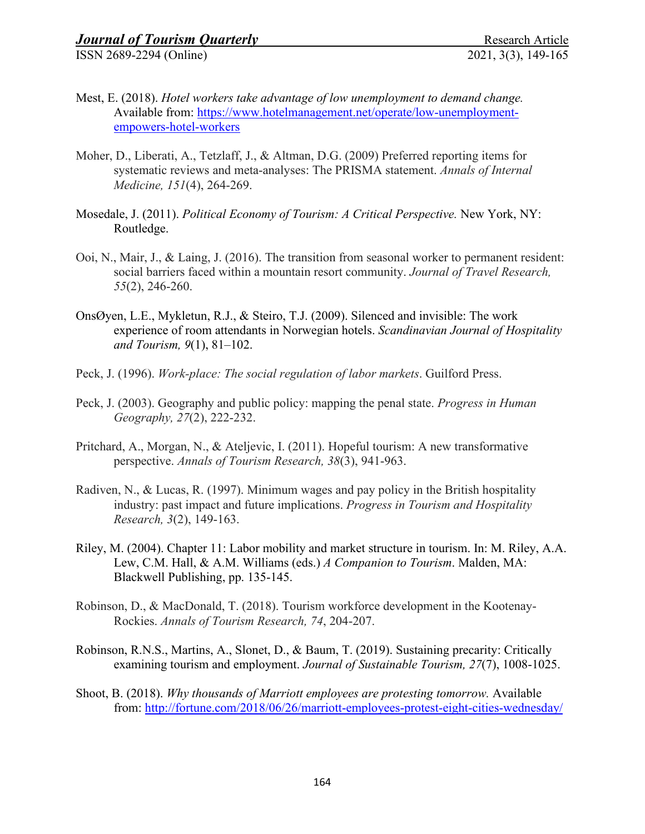- Mest, E. (2018). *Hotel workers take advantage of low unemployment to demand change.*  Available from: [https://www.hotelmanagement.net/operate/low-unemployment](https://www.hotelmanagement.net/operate/low-unemployment-empowers-hotel-workers)[empowers-hotel-workers](https://www.hotelmanagement.net/operate/low-unemployment-empowers-hotel-workers)
- Moher, D., Liberati, A., Tetzlaff, J., & Altman, D.G. (2009) Preferred reporting items for systematic reviews and meta-analyses: The PRISMA statement. *Annals of Internal Medicine, 151*(4), 264-269.
- Mosedale, J. (2011). *Political Economy of Tourism: A Critical Perspective.* New York, NY: Routledge.
- Ooi, N., Mair, J., & Laing, J. (2016). The transition from seasonal worker to permanent resident: social barriers faced within a mountain resort community. *Journal of Travel Research, 55*(2), 246-260.
- OnsØyen, L.E., Mykletun, R.J., & Steiro, T.J. (2009). Silenced and invisible: The work experience of room attendants in Norwegian hotels. *Scandinavian Journal of Hospitality and Tourism, 9*(1), 81–102.
- Peck, J. (1996). *Work-place: The social regulation of labor markets*. Guilford Press.
- Peck, J. (2003). Geography and public policy: mapping the penal state. *Progress in Human Geography, 27*(2), 222-232.
- Pritchard, A., Morgan, N., & Ateljevic, I. (2011). Hopeful tourism: A new transformative perspective. *Annals of Tourism Research, 38*(3), 941-963.
- Radiven, N., & Lucas, R. (1997). Minimum wages and pay policy in the British hospitality industry: past impact and future implications. *Progress in Tourism and Hospitality Research, 3*(2), 149-163.
- Riley, M. (2004). Chapter 11: Labor mobility and market structure in tourism. In: M. Riley, A.A. Lew, C.M. Hall, & A.M. Williams (eds.) *A Companion to Tourism*. Malden, MA: Blackwell Publishing, pp. 135-145.
- Robinson, D., & MacDonald, T. (2018). Tourism workforce development in the Kootenay-Rockies. *Annals of Tourism Research, 74*, 204-207.
- Robinson, R.N.S., Martins, A., Slonet, D., & Baum, T. (2019). Sustaining precarity: Critically examining tourism and employment. *Journal of Sustainable Tourism, 27*(7), 1008-1025.
- Shoot, B. (2018). *Why thousands of Marriott employees are protesting tomorrow.* Available from:<http://fortune.com/2018/06/26/marriott-employees-protest-eight-cities-wednesday/>